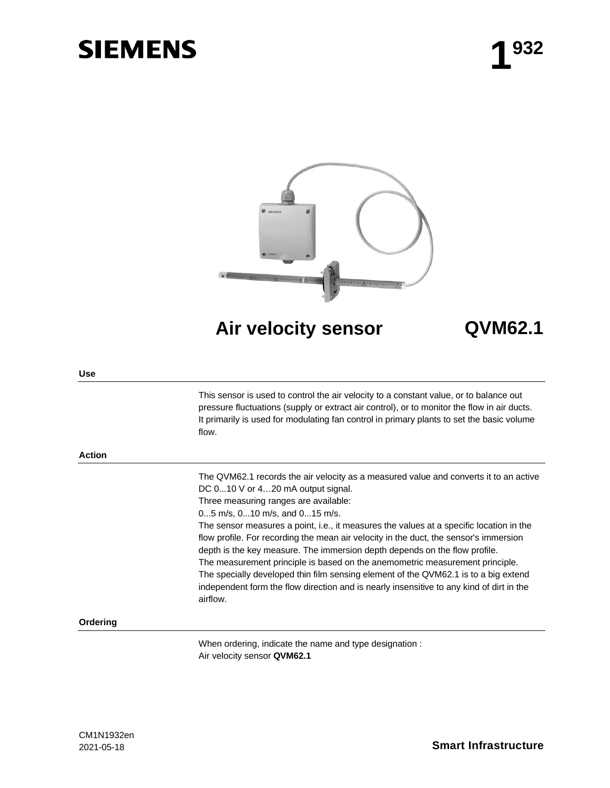# **SIEMENS**



**Air velocity sensor QVM62.1**

#### **Use**

This sensor is used to control the air velocity to a constant value, or to balance out pressure fluctuations (supply or extract air control), or to monitor the flow in air ducts. It primarily is used for modulating fan control in primary plants to set the basic volume flow.

#### **Action**

The QVM62.1 records the air velocity as a measured value and converts it to an active DC 0...10 V or 4...20 mA output signal.

Three measuring ranges are available:

0...5 m/s, 0...10 m/s, and 0...15 m/s.

The sensor measures a point, i.e., it measures the values at a specific location in the flow profile. For recording the mean air velocity in the duct, the sensor's immersion depth is the key measure. The immersion depth depends on the flow profile. The measurement principle is based on the anemometric measurement principle. The specially developed thin film sensing element of the QVM62.1 is to a big extend independent form the flow direction and is nearly insensitive to any kind of dirt in the airflow.

## **Ordering**

When ordering, indicate the name and type designation : Air velocity sensor **QVM62.1**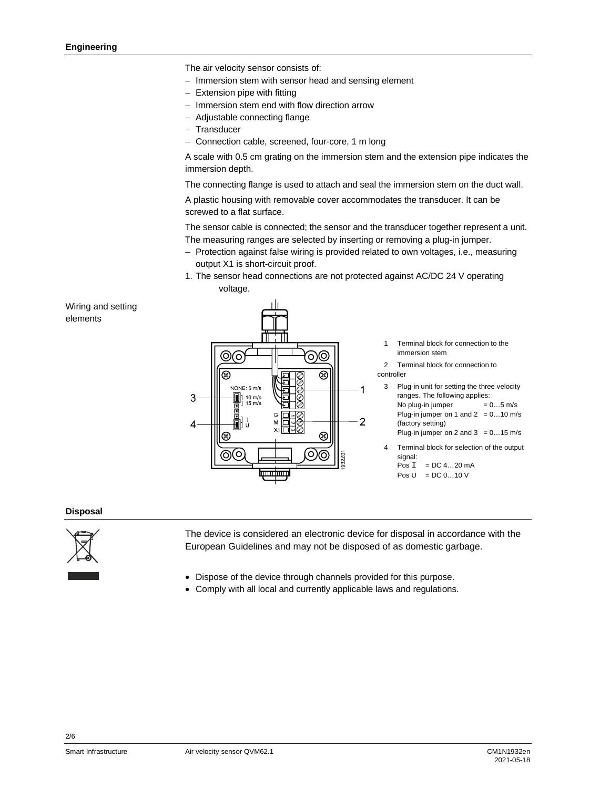The air velocity sensor consists of:

- $-$  Immersion stem with sensor head and sensing element
- Extension pipe with fitting
- Immersion stem end with flow direction arrow
- Adjustable connecting flange
- Transducer
- Connection cable, screened, four-core, 1 m long

A scale with 0.5 cm grating on the immersion stem and the extension pipe indicates the immersion depth.

The connecting flange is used to attach and seal the immersion stem on the duct wall.

A plastic housing with removable cover accommodates the transducer. It can be screwed to a flat surface.

The sensor cable is connected; the sensor and the transducer together represent a unit. The measuring ranges are selected by inserting or removing a plug-in jumper.

- Protection against false wiring is provided related to own voltages, i.e., measuring output X1 is short-circuit proof.
- 1. The sensor head connections are not protected against AC/DC 24 V operating voltage.

Wiring and setting elements



Terminal block for connection to the immersion stem

- 2 Terminal block for connection to controller
	- 3 Plug-in unit for setting the three velocity ranges. The following applies: No plug-in jumper  $= 0...5$  m/s Plug-in jumper on 1 and  $2 = 0...10$  m/s (factory setting) Plug-in jumper on 2 and  $3 = 0...15$  m/s
- 4 Terminal block for selection of the output signal:  $P$ os  $I = DC$  4...20 mA
	- Pos  $U = DC 0...10 V$

## **Disposal**



The device is considered an electronic device for disposal in accordance with the European Guidelines and may not be disposed of as domestic garbage.

- Dispose of the device through channels provided for this purpose.
- Comply with all local and currently applicable laws and regulations.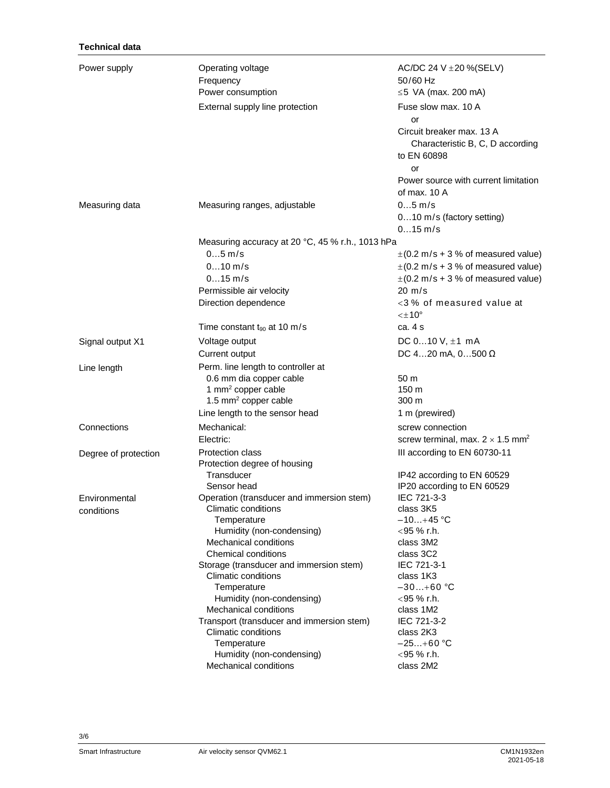| Power supply<br>Operating voltage<br>AC/DC 24 V $\pm$ 20 %(SELV)<br>50/60 Hz<br>Frequency<br>Power consumption<br>$\leq$ 5 VA (max. 200 mA) |                                                  |  |  |
|---------------------------------------------------------------------------------------------------------------------------------------------|--------------------------------------------------|--|--|
| Fuse slow max, 10 A<br>External supply line protection<br>or                                                                                |                                                  |  |  |
| Circuit breaker max, 13 A<br>Characteristic B, C, D according<br>to EN 60898<br>or                                                          |                                                  |  |  |
| Power source with current limitation<br>of max. 10 A                                                                                        |                                                  |  |  |
| $05$ m/s<br>Measuring data<br>Measuring ranges, adjustable<br>010 m/s (factory setting)<br>$015$ m/s                                        |                                                  |  |  |
|                                                                                                                                             | Measuring accuracy at 20 °C, 45 % r.h., 1013 hPa |  |  |
| $05$ m/s<br>$\pm$ (0.2 m/s + 3 % of measured value)                                                                                         |                                                  |  |  |
| $010$ m/s<br>$\pm$ (0.2 m/s + 3 % of measured value)                                                                                        |                                                  |  |  |
| $015$ m/s<br>$\pm$ (0.2 m/s + 3 % of measured value)                                                                                        |                                                  |  |  |
| Permissible air velocity<br>$20 \text{ m/s}$                                                                                                |                                                  |  |  |
| Direction dependence<br><3% of measured value at                                                                                            |                                                  |  |  |
| $<\pm 10^{\circ}$                                                                                                                           |                                                  |  |  |
| Time constant $t_{90}$ at 10 m/s<br>ca. 4 s                                                                                                 |                                                  |  |  |
| Voltage output<br>DC $010$ V, $\pm 1$ mA<br>Signal output X1                                                                                |                                                  |  |  |
| DC 420 mA, $0500 \Omega$<br>Current output                                                                                                  |                                                  |  |  |
| Perm. line length to controller at                                                                                                          |                                                  |  |  |
| Line length<br>0.6 mm dia copper cable<br>50 m                                                                                              |                                                  |  |  |
| 1 mm <sup>2</sup> copper cable<br>150 m                                                                                                     |                                                  |  |  |
| 1.5 mm <sup>2</sup> copper cable<br>300 m                                                                                                   |                                                  |  |  |
| Line length to the sensor head<br>1 m (prewired)                                                                                            |                                                  |  |  |
| Connections<br>Mechanical:<br>screw connection                                                                                              |                                                  |  |  |
| Electric:<br>screw terminal, max. $2 \times 1.5$ mm <sup>2</sup>                                                                            |                                                  |  |  |
| Protection class                                                                                                                            |                                                  |  |  |
| III according to EN 60730-11<br>Degree of protection<br>Protection degree of housing                                                        |                                                  |  |  |
| Transducer<br>IP42 according to EN 60529                                                                                                    |                                                  |  |  |
| Sensor head<br>IP20 according to EN 60529                                                                                                   |                                                  |  |  |
| IEC 721-3-3<br>Operation (transducer and immersion stem)<br>Environmental                                                                   |                                                  |  |  |
| Climatic conditions<br>class 3K5<br>conditions                                                                                              |                                                  |  |  |
| $-10+45$ °C<br>Temperature                                                                                                                  |                                                  |  |  |
| <95 % r.h.<br>Humidity (non-condensing)                                                                                                     |                                                  |  |  |
| Mechanical conditions<br>class 3M2                                                                                                          |                                                  |  |  |
| Chemical conditions<br>class 3C2                                                                                                            |                                                  |  |  |
| IEC 721-3-1<br>Storage (transducer and immersion stem)                                                                                      |                                                  |  |  |
| <b>Climatic conditions</b><br>class 1K3                                                                                                     |                                                  |  |  |
| $-30+60$ °C<br>Temperature                                                                                                                  |                                                  |  |  |
| Humidity (non-condensing)<br>$<$ 95 % r.h.                                                                                                  |                                                  |  |  |
| Mechanical conditions<br>class 1M2                                                                                                          |                                                  |  |  |
| IEC 721-3-2<br>Transport (transducer and immersion stem)<br>Climatic conditions<br>class 2K3                                                |                                                  |  |  |
| Temperature<br>$-25+60 °C$                                                                                                                  |                                                  |  |  |
| Humidity (non-condensing)<br>$<$ 95 % r.h.                                                                                                  |                                                  |  |  |
|                                                                                                                                             |                                                  |  |  |

3/6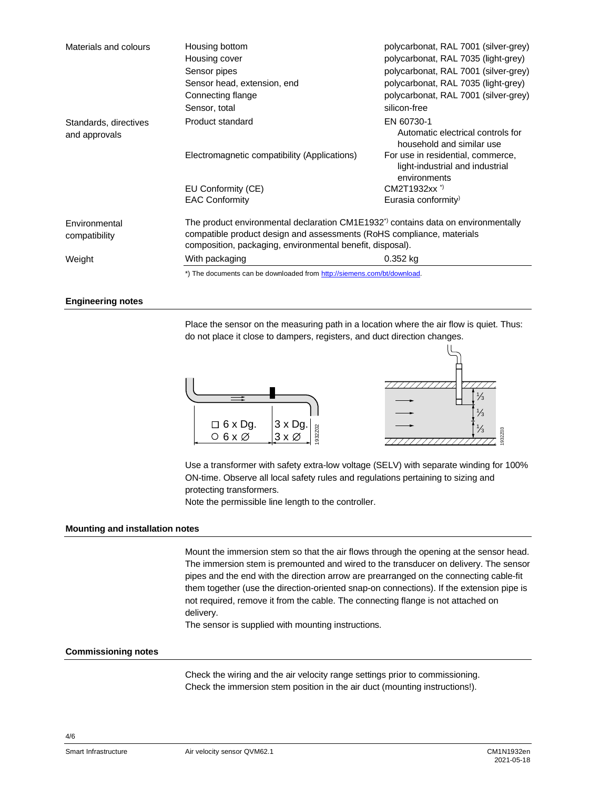| Materials and colours                  | Housing bottom<br>Housing cover<br>Sensor pipes<br>Sensor head, extension, end                                                                                                                                                       | polycarbonat, RAL 7001 (silver-grey)<br>polycarbonat, RAL 7035 (light-grey)<br>polycarbonat, RAL 7001 (silver-grey)<br>polycarbonat, RAL 7035 (light-grey) |  |
|----------------------------------------|--------------------------------------------------------------------------------------------------------------------------------------------------------------------------------------------------------------------------------------|------------------------------------------------------------------------------------------------------------------------------------------------------------|--|
|                                        | Connecting flange                                                                                                                                                                                                                    | polycarbonat, RAL 7001 (silver-grey)                                                                                                                       |  |
|                                        | Sensor, total                                                                                                                                                                                                                        | silicon-free                                                                                                                                               |  |
| Standards, directives<br>and approvals | Product standard                                                                                                                                                                                                                     | EN 60730-1<br>Automatic electrical controls for<br>household and similar use                                                                               |  |
|                                        | Electromagnetic compatibility (Applications)                                                                                                                                                                                         | For use in residential, commerce,<br>light-industrial and industrial<br>environments                                                                       |  |
|                                        | EU Conformity (CE)                                                                                                                                                                                                                   | CM2T1932xx <sup>*</sup>                                                                                                                                    |  |
|                                        | <b>EAC Conformity</b>                                                                                                                                                                                                                | Eurasia conformity <sup>)</sup>                                                                                                                            |  |
| Environmental<br>compatibility         | The product environmental declaration CM1E1932 <sup>*</sup> ) contains data on environmentally<br>compatible product design and assessments (RoHS compliance, materials<br>composition, packaging, environmental benefit, disposal). |                                                                                                                                                            |  |
| Weight                                 | With packaging                                                                                                                                                                                                                       | $0.352$ kg                                                                                                                                                 |  |
|                                        | *) The documents can be downloaded from http://siemens.com/bt/download.                                                                                                                                                              |                                                                                                                                                            |  |

## **Engineering notes**

Place the sensor on the measuring path in a location where the air flow is quiet. Thus: do not place it close to dampers, registers, and duct direction changes.



Use a transformer with safety extra-low voltage (SELV) with separate winding for 100% ON-time. Observe all local safety rules and regulations pertaining to sizing and protecting transformers.

Note the permissible line length to the controller.

#### **Mounting and installation notes**

Mount the immersion stem so that the air flows through the opening at the sensor head. The immersion stem is premounted and wired to the transducer on delivery. The sensor pipes and the end with the direction arrow are prearranged on the connecting cable-fit them together (use the direction-oriented snap-on connections). If the extension pipe is not required, remove it from the cable. The connecting flange is not attached on delivery.

The sensor is supplied with mounting instructions.

# **Commissioning notes**

Check the wiring and the air velocity range settings prior to commissioning. Check the immersion stem position in the air duct (mounting instructions!).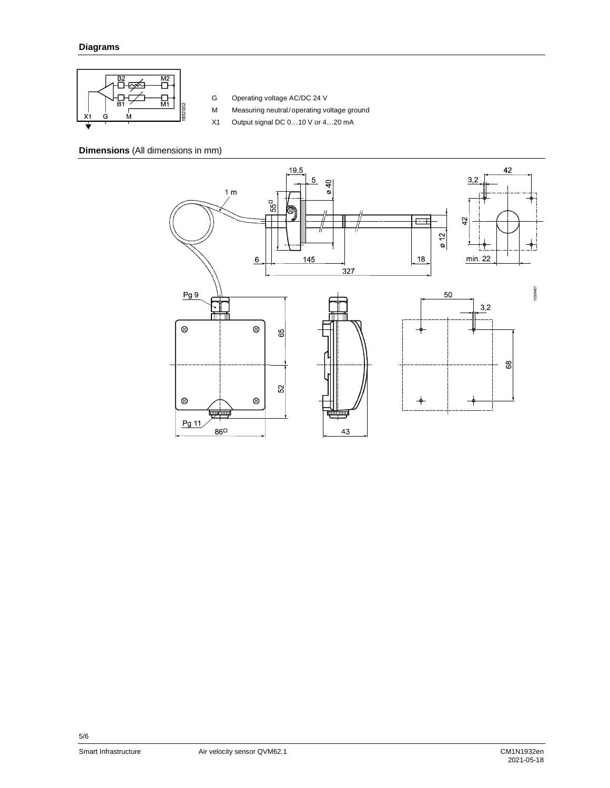

G Operating voltage AC/DC 24 V

- M Measuring neutral/ operating voltage ground
- X1 Output signal DC 0…10 V or 4…20 mA

# **Dimensions** (All dimensions in mm)



5/6